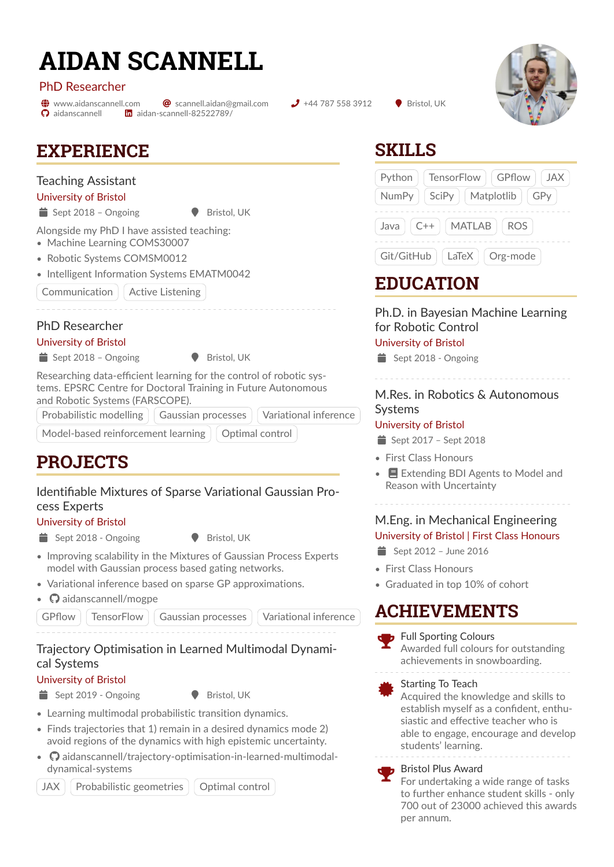# **AIDAN SCANNELL**

#### PhD Researcher

 $\Omega$  [aidanscannell](https://github.com/aidanscannell)

 $\bigoplus$  [www.aidanscannell.com](https://www.aidanscannell.com)  $\bigotimes$  [scannell.aidan@gmail.com](mailto:scannell.aidan@gmail.com)  $\bigcup$  +44 787 558 3912  $\bigodot$  Bristol, UK [aidan-scannell-82522789/](https://linkedin.com/in/aidan-scannell-82522789/)



# **EXPERIENCE**

## Teaching Assistant

University of Bristol

 $\bullet$  Sept 2018 – Ongoing  $\bullet$  Bristol, UK

Alongside my PhD I have assisted teaching:

- [Machine Learning COMS30007](https://www.bris.ac.uk/unit-programme-catalogue/UnitDetails.jsa?ayrCode=19%2F20&unitCode=COMS30007)
- [Robotic Systems COMSM0012](https://www.bris.ac.uk/unit-programme-catalogue/UnitDetails.jsa?ayrCode=19%2F20&unitCode=COMSM0012)
- [Intelligent Information Systems EMATM0042](https://www.bris.ac.uk/unit-programme-catalogue/UnitDetails.jsa?ayrCode=19/20\&unitCode=EMATM0042)

Communication | Active Listening

## PhD Researcher

University of Bristol

 $\bullet$  Sept 2018 – Ongoing  $\bullet$  Bristol, UK

Researching data-efficient learning for the control of robotic systems. EPSRC Centre for Doctoral Training in Future Autonomous and Robotic Systems (FARSCOPE).

Probabilistic modelling | Gaussian processes | Variational inference

Model-based reinforcement learning  $\vert\,\vert$  Optimal control

**PROJECTS**

## Identifiable Mixtures of Sparse Variational Gaussian Process Experts

#### University of Bristol

Sept 2018 - Ongoing **6 Bristol, UK** 

- Improving scalability in the Mixtures of Gaussian Process Experts model with Gaussian process based gating networks.
- Variational inference based on sparse GP approximations.
- $\Omega$  [aidanscannell/mogpe](https://github.com/aidanscannell/mogpe)

GPflow | TensorFlow | Gaussian processes | Variational inference

# Trajectory Optimisation in Learned Multimodal Dynamical Systems

## University of Bristol

 $\bullet$  Sept 2019 - Ongoing  $\bullet$  Bristol, UK

- Learning multimodal probabilistic transition dynamics.
- Finds trajectories that 1) remain in a desired dynamics mode 2) avoid regions of the dynamics with high epistemic uncertainty.
- $\bigcirc$  [aidanscannell/trajectory-optimisation-in-learned-multimodal](https://github.com/aidanscannell/trajectory-optimisation-in-learned-multimodal-dynamical-systems)[dynamical-systems](https://github.com/aidanscannell/trajectory-optimisation-in-learned-multimodal-dynamical-systems)

JAX | Probabilistic geometries | Optimal control

**SKILLS**

|                                 | Python   TensorFlow   GPflow   JAX |
|---------------------------------|------------------------------------|
|                                 | NumPy   SciPy   Matplotlib   GPy   |
| Java $ $ C++ $ $ MATLAB $ $ ROS |                                    |
| Git/GitHub   LaTeX   Org-mode   |                                    |

# **EDUCATION**

Ph.D. in Bayesian Machine Learning for Robotic Control

#### University of Bristol

 $\equiv$  Sept 2018 - Ongoing

## M.Res. in Robotics & Autonomous Systems

#### University of Bristol

 $\equiv$  Sept 2017 – Sept 2018

- First Class Honours
- $\bullet$  **E** [Extending BDI Agents to Model and](https://www.aidanscannell.com/project/uncertain-agentspeak/) [Reason with Uncertainty](https://www.aidanscannell.com/project/uncertain-agentspeak/)

## M.Eng. in Mechanical Engineering University of Bristol | First Class Honours

- $\Rightarrow$  Sept 2012 June 2016
- First Class Honours
- Graduated in top 10% of cohort

# **ACHIEVEMENTS**



**zik** Starting To Teach Acquired the knowledge and skills to establish myself as a confident, enthusiastic and effective teacher who is able to engage, encourage and develop students' learning.

#### **Bristol Plus Award**

For undertaking a wide range of tasks to further enhance student skills - only 700 out of 23000 achieved this awards per annum.